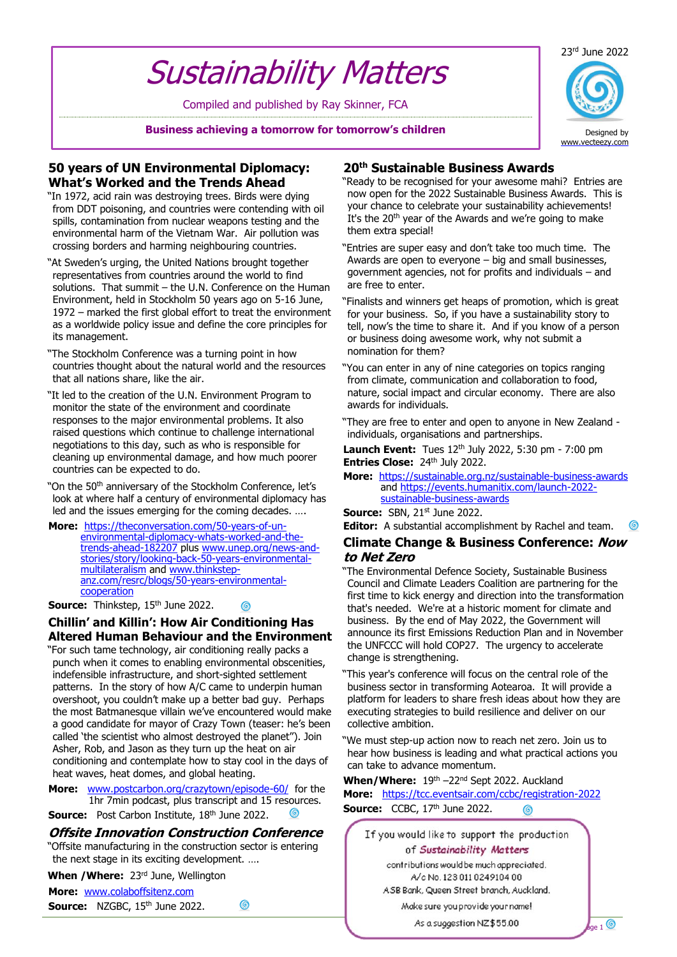# Sustainability Matters

Compiled and published by Ray Skinner, FCA

**Business achieving a tomorrow for tomorrow's children**



#### **50 years of UN Environmental Diplomacy: What's Worked and the Trends Ahead**

- "In 1972, acid rain was destroying trees. Birds were dying from DDT poisoning, and countries were contending with oil spills, contamination from nuclear weapons testing and the environmental harm of the Vietnam War. Air pollution was crossing borders and harming neighbouring countries.
- "At Sweden's urging, the United Nations brought together representatives from countries around the world to find solutions. That summit – the U.N. Conference on the Human Environment, held in Stockholm 50 years ago on 5-16 June, 1972 – marked the first global effort to treat the environment as a worldwide policy issue and define the core principles for its management.
- "The Stockholm Conference was a turning point in how countries thought about the natural world and the resources that all nations share, like the air.
- "It led to the creation of the U.N. Environment Program to monitor the state of the environment and coordinate responses to the major environmental problems. It also raised questions which continue to challenge international negotiations to this day, such as who is responsible for cleaning up environmental damage, and how much poorer countries can be expected to do.

"On the 50<sup>th</sup> anniversary of the Stockholm Conference, let's look at where half a century of environmental diplomacy has led and the issues emerging for the coming decades. ….

**More:** [https://theconversation.com/50-years-of-un](https://theconversation.com/50-years-of-un-environmental-diplomacy-whats-worked-and-the-trends-ahead-182207)[environmental-diplomacy-whats-worked-and-the](https://theconversation.com/50-years-of-un-environmental-diplomacy-whats-worked-and-the-trends-ahead-182207)[trends-ahead-182207](https://theconversation.com/50-years-of-un-environmental-diplomacy-whats-worked-and-the-trends-ahead-182207) plus [www.unep.org/news-and](http://www.unep.org/news-and-stories/story/looking-back-50-years-environmental-multilateralism)[stories/story/looking-back-50-years-environmental](http://www.unep.org/news-and-stories/story/looking-back-50-years-environmental-multilateralism)[multilateralism](http://www.unep.org/news-and-stories/story/looking-back-50-years-environmental-multilateralism) and [www.thinkstep](http://www.thinkstep-anz.com/resrc/blogs/50-years-environmental-cooperation)[anz.com/resrc/blogs/50-years-environmental](http://www.thinkstep-anz.com/resrc/blogs/50-years-environmental-cooperation)**[cooperation](http://www.thinkstep-anz.com/resrc/blogs/50-years-environmental-cooperation)** 

**Source:** Thinkstep, 15<sup>th</sup> June 2022.

### **Chillin' and Killin': How Air Conditioning Has Altered Human Behaviour and the Environment**

"For such tame technology, air conditioning really packs a punch when it comes to enabling environmental obscenities, indefensible infrastructure, and short-sighted settlement patterns. In the story of how A/C came to underpin human overshoot, you couldn't make up a better bad guy. Perhaps the most Batmanesque villain we've encountered would make a good candidate for mayor of Crazy Town (teaser: he's been called 'the scientist who almost destroyed the planet''). Join Asher, Rob, and Jason as they turn up the heat on air conditioning and contemplate how to stay cool in the days of heat waves, heat domes, and global heating.

**More:** [www.postcarbon.org/crazytown/episode-60/](http://www.postcarbon.org/crazytown/episode-60/) for the 1hr 7min podcast, plus transcript and 15 resources. **Source:** Post Carbon Institute, 18<sup>th</sup> June 2022.

### **Offsite Innovation Construction Conference**

"Offsite manufacturing in the construction sector is entering the next stage in its exciting development. ….

 $\circledcirc$ 

# When / Where: 23<sup>rd</sup> June, Wellington

**More:** [www.colaboffsitenz.com](http://www.colaboffsitenz.com/)

Source: NZGBC, 15<sup>th</sup> June 2022.

### **20th Sustainable Business Awards**

- "Ready to be recognised for your awesome mahi? Entries are now open for the 2022 Sustainable Business Awards. This is your chance to celebrate your sustainability achievements! It's the 20<sup>th</sup> year of the Awards and we're going to make them extra special!
- "Entries are super easy and don't take too much time. The Awards are open to everyone – big and small businesses, government agencies, not for profits and individuals – and are free to enter.
- "Finalists and winners get heaps of promotion, which is great for your business. So, if you have a sustainability story to tell, now's the time to share it. And if you know of a person or business doing awesome work, why not submit a nomination for them?
- "You can enter in any of nine categories on topics ranging from climate, communication and collaboration to food, nature, social impact and circular economy. There are also awards for individuals.
- "They are free to enter and open to anyone in New Zealand individuals, organisations and partnerships.

**Launch Event:** Tues 12<sup>th</sup> July 2022, 5:30 pm - 7:00 pm **Entries Close: 24th July 2022.** 

**More:** <https://sustainable.org.nz/sustainable-business-awards> and [https://events.humanitix.com/launch-2022](https://events.humanitix.com/launch-2022-sustainable-business-awards) [sustainable-business-awards](https://events.humanitix.com/launch-2022-sustainable-business-awards)

**Source: SBN, 21st June 2022.** 

**Editor:** A substantial accomplishment by Rachel and team. ග

#### **Climate Change & Business Conference: Now to Net Zero**

"The Environmental Defence Society, Sustainable Business Council and Climate Leaders Coalition are partnering for the first time to kick energy and direction into the transformation that's needed. We're at a historic moment for climate and business. By the end of May 2022, the Government will announce its first Emissions Reduction Plan and in November the UNFCCC will hold COP27. The urgency to accelerate change is strengthening.

- "This year's conference will focus on the central role of the business sector in transforming Aotearoa. It will provide a platform for leaders to share fresh ideas about how they are executing strategies to build resilience and deliver on our collective ambition.
- "We must step-up action now to reach net zero. Join us to hear how business is leading and what practical actions you can take to advance momentum.

When/Where: 19<sup>th</sup> –22<sup>nd</sup> Sept 2022. Auckland

**More:** <https://tcc.eventsair.com/ccbc/registration-2022> **Source:** CCBC, 17<sup>th</sup> June 2022. ര

If you would like to support the production of Sustainability Matters

contributions would be much appreciated. A/c No. 123 011 0249104 00 ASB Bank, Queen Street branch, Auckland. Make sure you provide your name!

As a suggestion NZ\$55.00  $\frac{1}{2}$  Matters 1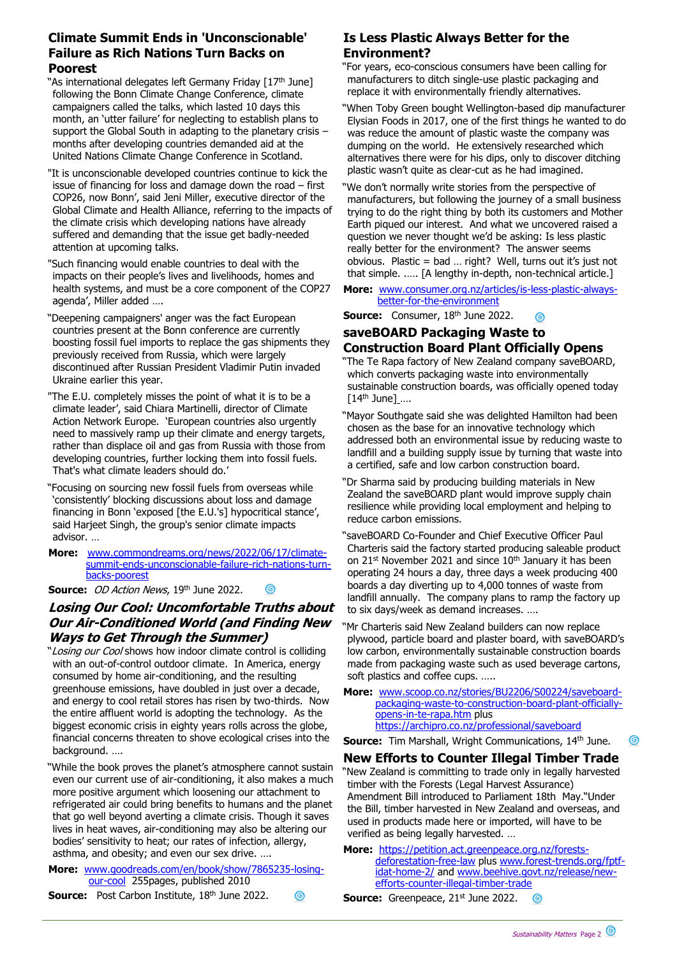## **Climate Summit Ends in 'Unconscionable' Failure as Rich Nations Turn Backs on Poorest**

- "As international delegates left Germany Friday [17<sup>th</sup> June] following the Bonn Climate Change Conference, climate campaigners called the talks, which lasted 10 days this month, an 'utter failure' for neglecting to establish plans to support the Global South in adapting to the planetary crisis months after developing countries demanded aid at the United Nations Climate Change Conference in Scotland.
- "It is unconscionable developed countries continue to kick the issue of financing for loss and damage down the road – first COP26, now Bonn', said Jeni Miller, executive director of the Global Climate and Health Alliance, referring to the impacts of the climate crisis which developing nations have already suffered and demanding that the issue get badly-needed attention at upcoming talks.
- "Such financing would enable countries to deal with the impacts on their people's lives and livelihoods, homes and health systems, and must be a core component of the COP27 agenda', Miller added ….
- "Deepening campaigners' anger was the fact European countries present at the Bonn conference are currently boosting fossil fuel imports to replace the gas shipments they previously received from Russia, which were largely discontinued after Russian President Vladimir Putin invaded Ukraine earlier this year.
- "The E.U. completely misses the point of what it is to be a climate leader', said Chiara Martinelli, director of Climate Action Network Europe. 'European countries also urgently need to massively ramp up their climate and energy targets, rather than displace oil and gas from Russia with those from developing countries, further locking them into fossil fuels. That's what climate leaders should do.'
- "Focusing on sourcing new fossil fuels from overseas while 'consistently' blocking discussions about loss and damage financing in Bonn 'exposed [the E.U.'s] hypocritical stance', said Harjeet Singh, the group's senior climate impacts advisor. …
- **More:** [www.commondreams.org/news/2022/06/17/climate](http://www.commondreams.org/news/2022/06/17/climate-summit-ends-unconscionable-failure-rich-nations-turn-backs-poorest)[summit-ends-unconscionable-failure-rich-nations-turn](http://www.commondreams.org/news/2022/06/17/climate-summit-ends-unconscionable-failure-rich-nations-turn-backs-poorest)[backs-poorest](http://www.commondreams.org/news/2022/06/17/climate-summit-ends-unconscionable-failure-rich-nations-turn-backs-poorest)

ര

◎

#### **Source:** *OD Action News*, 19<sup>th</sup> June 2022.

# **Losing Our Cool: Uncomfortable Truths about Our Air-Conditioned World (and Finding New Ways to Get Through the Summer)**

- "Losing our Cool shows how indoor climate control is colliding with an out-of-control outdoor climate. In America, energy consumed by home air-conditioning, and the resulting greenhouse emissions, have doubled in just over a decade, and energy to cool retail stores has risen by two-thirds. Now the entire affluent world is adopting the technology. As the biggest economic crisis in eighty years rolls across the globe, financial concerns threaten to shove ecological crises into the background. ….
- "While the book proves the planet's atmosphere cannot sustain even our current use of air-conditioning, it also makes a much more positive argument which loosening our attachment to refrigerated air could bring benefits to humans and the planet that go well beyond averting a climate crisis. Though it saves lives in heat waves, air-conditioning may also be altering our bodies' sensitivity to heat; our rates of infection, allergy, asthma, and obesity; and even our sex drive. ….

**More:** [www.goodreads.com/en/book/show/7865235-losing](http://www.goodreads.com/en/book/show/7865235-losing-our-cool)[our-cool](http://www.goodreads.com/en/book/show/7865235-losing-our-cool) 255pages, published 2010

**Source:** Post Carbon Institute, 18<sup>th</sup> June 2022.

## **Is Less Plastic Always Better for the Environment?**

- "For years, eco-conscious consumers have been calling for manufacturers to ditch single-use plastic packaging and replace it with environmentally friendly alternatives.
- "When Toby Green bought Wellington-based dip manufacturer Elysian Foods in 2017, one of the first things he wanted to do was reduce the amount of plastic waste the company was dumping on the world. He extensively researched which alternatives there were for his dips, only to discover ditching plastic wasn't quite as clear-cut as he had imagined.
- "We don't normally write stories from the perspective of manufacturers, but following the journey of a small business trying to do the right thing by both its customers and Mother Earth piqued our interest. And what we uncovered raised a question we never thought we'd be asking: Is less plastic really better for the environment? The answer seems obvious. Plastic = bad … right? Well, turns out it's just not that simple. .…. [A lengthy in-depth, non-technical article.]
- **More:** [www.consumer.org.nz/articles/is-less-plastic-always](http://www.consumer.org.nz/articles/is-less-plastic-always-better-for-the-environment)[better-for-the-environment](http://www.consumer.org.nz/articles/is-less-plastic-always-better-for-the-environment)

**Source:** Consumer, 18<sup>th</sup> June 2022. 6

### **saveBOARD Packaging Waste to Construction Board Plant Officially Opens**

- "The Te Rapa factory of New Zealand company saveBOARD, which converts packaging waste into environmentally sustainable construction boards, was officially opened today  $[14<sup>th</sup>$  June] ....
- "Mayor Southgate said she was delighted Hamilton had been chosen as the base for an innovative technology which addressed both an environmental issue by reducing waste to landfill and a building supply issue by turning that waste into a certified, safe and low carbon construction board.
- "Dr Sharma said by producing building materials in New Zealand the saveBOARD plant would improve supply chain resilience while providing local employment and helping to reduce carbon emissions.
- "saveBOARD Co-Founder and Chief Executive Officer Paul Charteris said the factory started producing saleable product on  $21^{st}$  November 2021 and since  $10^{th}$  January it has been operating 24 hours a day, three days a week producing 400 boards a day diverting up to 4,000 tonnes of waste from landfill annually. The company plans to ramp the factory up to six days/week as demand increases. ….
- "Mr Charteris said New Zealand builders can now replace plywood, particle board and plaster board, with saveBOARD's low carbon, environmentally sustainable construction boards made from packaging waste such as used beverage cartons, soft plastics and coffee cups. …..
- **More:** [www.scoop.co.nz/stories/BU2206/S00224/saveboard](http://www.scoop.co.nz/stories/BU2206/S00224/saveboard-packaging-waste-to-construction-board-plant-officially-opens-in-te-rapa.htm)[packaging-waste-to-construction-board-plant-officially](http://www.scoop.co.nz/stories/BU2206/S00224/saveboard-packaging-waste-to-construction-board-plant-officially-opens-in-te-rapa.htm)[opens-in-te-rapa.htm](http://www.scoop.co.nz/stories/BU2206/S00224/saveboard-packaging-waste-to-construction-board-plant-officially-opens-in-te-rapa.htm) plus <https://archipro.co.nz/professional/saveboard>

**Source:** Tim Marshall, Wright Communications, 14<sup>th</sup> June.

#### **New Efforts to Counter Illegal Timber Trade**

"New Zealand is committing to trade only in legally harvested timber with the Forests (Legal Harvest Assurance) Amendment Bill introduced to Parliament 18th May."Under the Bill, timber harvested in New Zealand and overseas, and used in products made here or imported, will have to be verified as being legally harvested. …

**More:** [https://petition.act.greenpeace.org.nz/forests](https://petition.act.greenpeace.org.nz/forests-deforestation-free-law)[deforestation-free-law](https://petition.act.greenpeace.org.nz/forests-deforestation-free-law) plus [www.forest-trends.org/fptf](http://www.forest-trends.org/fptf-idat-home-2/)[idat-home-2/](http://www.forest-trends.org/fptf-idat-home-2/) and [www.beehive.govt.nz/release/new](http://www.beehive.govt.nz/release/new-efforts-counter-illegal-timber-trade)[efforts-counter-illegal-timber-trade](http://www.beehive.govt.nz/release/new-efforts-counter-illegal-timber-trade)

**Source:** Greenpeace, 21st June 2022.  ෧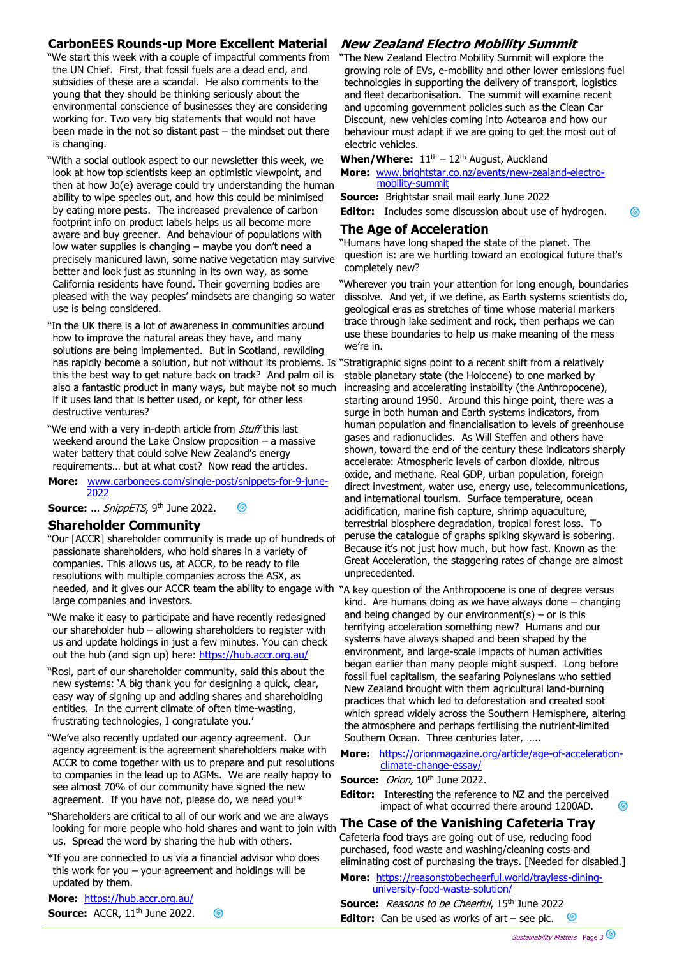### **CarbonEES Rounds-up More Excellent Material**

"We start this week with a couple of impactful comments from the UN Chief. First, that fossil fuels are a dead end, and subsidies of these are a scandal. He also comments to the young that they should be thinking seriously about the environmental conscience of businesses they are considering working for. Two very big statements that would not have been made in the not so distant past – the mindset out there is changing.

"With a social outlook aspect to our newsletter this week, we look at how top scientists keep an optimistic viewpoint, and then at how Jo(e) average could try understanding the human ability to wipe species out, and how this could be minimised by eating more pests. The increased prevalence of carbon footprint info on product labels helps us all become more aware and buy greener. And behaviour of populations with low water supplies is changing – maybe you don't need a precisely manicured lawn, some native vegetation may survive better and look just as stunning in its own way, as some California residents have found. Their governing bodies are pleased with the way peoples' mindsets are changing so water use is being considered.

"In the UK there is a lot of awareness in communities around how to improve the natural areas they have, and many solutions are being implemented. But in Scotland, rewilding has rapidly become a solution, but not without its problems. Is "Stratigraphic signs point to a recent shift from a relatively this the best way to get nature back on track? And palm oil is also a fantastic product in many ways, but maybe not so much if it uses land that is better used, or kept, for other less destructive ventures?

"We end with a very in-depth article from Stuff this last weekend around the Lake Onslow proposition – a massive water battery that could solve New Zealand's energy requirements… but at what cost? Now read the articles.

**More:** [www.carbonees.com/single-post/snippets-for-9-june-](http://www.carbonees.com/single-post/snippets-for-9-june-2022)[2022](http://www.carbonees.com/single-post/snippets-for-9-june-2022)

Source: ... SnippETS, 9<sup>th</sup> June 2022. 0

#### **Shareholder Community**

"Our [ACCR] shareholder community is made up of hundreds of passionate shareholders, who hold shares in a variety of companies. This allows us, at ACCR, to be ready to file resolutions with multiple companies across the ASX, as needed, and it gives our ACCR team the ability to engage with "A key question of the Anthropocene is one of degree versus large companies and investors.

"We make it easy to participate and have recently redesigned our shareholder hub – allowing shareholders to register with us and update holdings in just a few minutes. You can check out the hub (and sign up) here:<https://hub.accr.org.au/>

"Rosi, part of our shareholder community, said this about the new systems: 'A big thank you for designing a quick, clear, easy way of signing up and adding shares and shareholding entities. In the current climate of often time-wasting, frustrating technologies, I congratulate you.'

"We've also recently updated our agency agreement. Our agency agreement is the agreement shareholders make with ACCR to come together with us to prepare and put resolutions to companies in the lead up to AGMs. We are really happy to see almost 70% of our community have signed the new agreement. If you have not, please do, we need you!\*

"Shareholders are critical to all of our work and we are always looking for more people who hold shares and want to join with us. Spread the word by sharing the hub with others.

\*If you are connected to us via a financial advisor who does this work for you  $-$  your agreement and holdings will be updated by them.

 $\circledcirc$ 

**More:** <https://hub.accr.org.au/> **Source:** ACCR, 11<sup>th</sup> June 2022.

## **New Zealand Electro Mobility Summit**

"The New Zealand Electro Mobility Summit will explore the growing role of EVs, e-mobility and other lower emissions fuel technologies in supporting the delivery of transport, logistics and fleet decarbonisation. The summit will examine recent and upcoming government policies such as the Clean Car Discount, new vehicles coming into Aotearoa and how our behaviour must adapt if we are going to get the most out of electric vehicles.

**When/Where:**  $11<sup>th</sup> - 12<sup>th</sup>$  August, Auckland

**More:** [www.brightstar.co.nz/events/new-zealand-electro](http://www.brightstar.co.nz/events/new-zealand-electro-mobility-summit)[mobility-summit](http://www.brightstar.co.nz/events/new-zealand-electro-mobility-summit)

**Source:** Brightstar snail mail early June 2022

**Editor:** Includes some discussion about use of hydrogen.

ര

#### **The Age of Acceleration**

"Humans have long shaped the state of the planet. The question is: are we hurtling toward an ecological future that's completely new?

"Wherever you train your attention for long enough, boundaries dissolve. And yet, if we define, as Earth systems scientists do, geological eras as stretches of time whose material markers trace through lake sediment and rock, then perhaps we can use these boundaries to help us make meaning of the mess we're in.

stable planetary state (the Holocene) to one marked by increasing and accelerating instability (the Anthropocene), starting around 1950. Around this hinge point, there was a surge in both human and Earth systems indicators, from human population and financialisation to levels of greenhouse gases and radionuclides. As Will Steffen and others have shown, toward the end of the century these indicators sharply accelerate: Atmospheric levels of carbon dioxide, nitrous oxide, and methane. Real GDP, urban population, foreign direct investment, water use, energy use, telecommunications, and international tourism. Surface temperature, ocean acidification, marine fish capture, shrimp aquaculture, terrestrial biosphere degradation, tropical forest loss. To peruse the catalogue of graphs spiking skyward is sobering. Because it's not just how much, but how fast. Known as the Great Acceleration, the staggering rates of change are almost unprecedented.

kind. Are humans doing as we have always done – changing and being changed by our environment(s) – or is this terrifying acceleration something new? Humans and our systems have always shaped and been shaped by the environment, and large-scale impacts of human activities began earlier than many people might suspect. Long before fossil fuel capitalism, the seafaring Polynesians who settled New Zealand brought with them agricultural land-burning practices that which led to deforestation and created soot which spread widely across the Southern Hemisphere, altering the atmosphere and perhaps fertilising the nutrient-limited Southern Ocean. Three centuries later, …..

#### **More:** [https://orionmagazine.org/article/age-of-acceleration](https://orionmagazine.org/article/age-of-acceleration-climate-change-essay/)[climate-change-essay/](https://orionmagazine.org/article/age-of-acceleration-climate-change-essay/)

**Source:** Orion, 10<sup>th</sup> June 2022.

**Editor:** Interesting the reference to NZ and the perceived impact of what occurred there around 1200AD.

# **The Case of the Vanishing Cafeteria Tray**

Cafeteria food trays are going out of use, reducing food purchased, food waste and washing/cleaning costs and eliminating cost of purchasing the trays. [Needed for disabled.]

**More:** [https://reasonstobecheerful.world/trayless-dining](https://reasonstobecheerful.world/trayless-dining-university-food-waste-solution/)[university-food-waste-solution/](https://reasonstobecheerful.world/trayless-dining-university-food-waste-solution/)

**Source:** Reasons to be Cheerful, 15<sup>th</sup> June 2022 **Editor:** Can be used as works of art – see pic. <u>(၅</u> ര